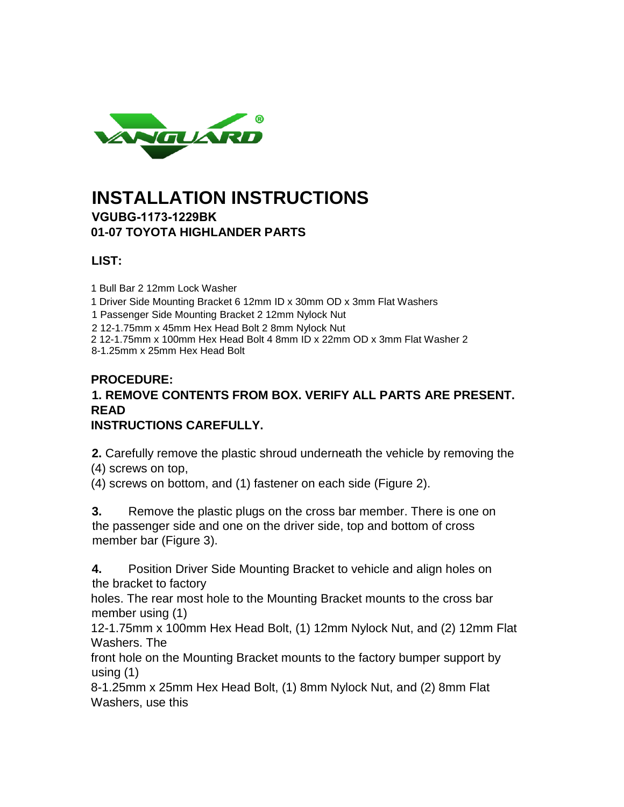

# **INSTALLATION INSTRUCTIONS [VGUBG-117](http://www.carid.com/grill-guards.html)3-1229BK**

**01-07 TOYOTA HIGHLANDER PARTS**

## **LIST:**

1 Bull Bar 2 12mm Lock Washer

1 Driver Side Mounting Bracket 6 12mm ID x 30mm OD x 3mm Flat Washers

1 Passenger Side Mounting Bracket 2 12mm Nylock Nut

2 12-1.75mm x 45mm Hex Head Bolt 2 8mm Nylock Nut

2 12-1.75mm x 100mm Hex Head Bolt 4 8mm ID x 22mm OD x 3mm Flat Washer 2

8-1.25mm x 25mm Hex Head Bolt

#### **PROCEDURE:**

# **1. REMOVE CONTENTS FROM BOX. VERIFY ALL PARTS ARE PRESENT. READ**

## **INSTRUCTIONS CAREFULLY.**

**2.** Carefully remove the plastic shroud underneath the vehicle by removing the (4) screws on top,

(4) screws on bottom, and (1) fastener on each side (Figure 2).

**3.** Remove the plastic plugs on the cross bar member. There is one on the passenger side and one on the driver side, top and bottom of cross member bar (Figure 3).

**4.** Position Driver Side Mounting Bracket to vehicle and align holes on the bracket to factory

holes. The rear most hole to the Mounting Bracket mounts to the cross bar member using (1)

12-1.75mm x 100mm Hex Head Bolt, (1) 12mm Nylock Nut, and (2) 12mm Flat Washers. The

front hole on the Mounting Bracket mounts to the factory bumper support by using (1)

8-1.25mm x 25mm Hex Head Bolt, (1) 8mm Nylock Nut, and (2) 8mm Flat Washers, use this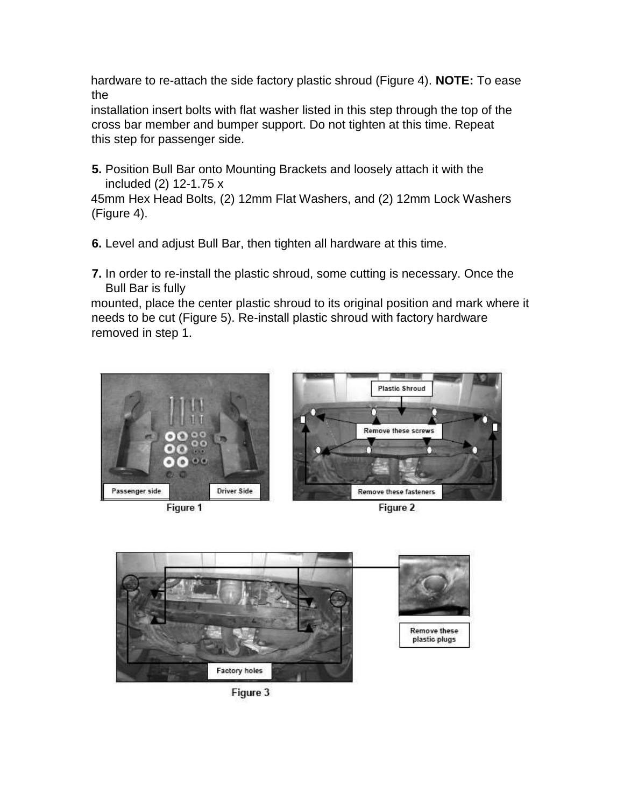hardware to re-attach the side factory plastic shroud (Figure 4). **NOTE:** To ease the

installation insert bolts with flat washer listed in this step through the top of the cross bar member and bumper support. Do not tighten at this time. Repeat this step for passenger side.

**5.** Position Bull Bar onto Mounting Brackets and loosely attach it with the included (2) 12-1.75 x

45mm Hex Head Bolts, (2) 12mm Flat Washers, and (2) 12mm Lock Washers (Figure 4).

**6.** Level and adjust Bull Bar, then tighten all hardware at this time.

**7.** In order to re-install the plastic shroud, some cutting is necessary. Once the Bull Bar is fully

mounted, place the center plastic shroud to its original position and mark where it needs to be cut (Figure 5). Re-install plastic shroud with factory hardware removed in step 1.







Figure 2



Figure 3